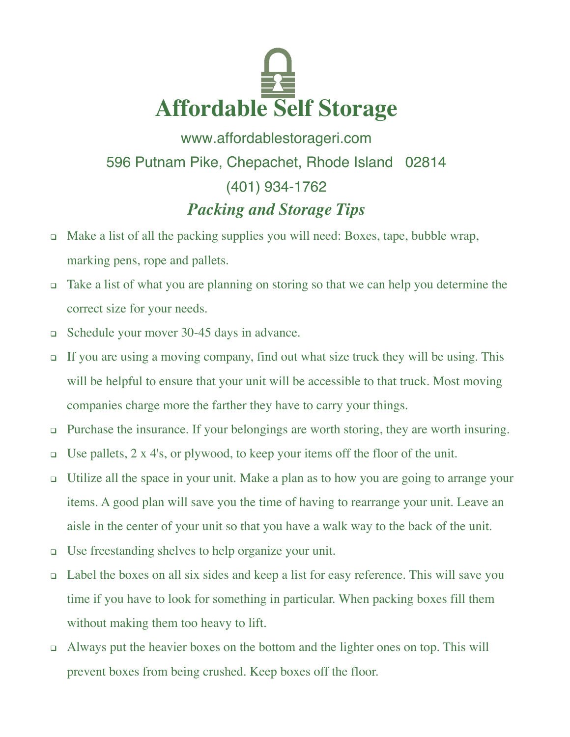

www.affordablestorageri.com 596 Putnam Pike, Chepachet, Rhode Island 02814 (401) 934-1762 *Packing and Storage Tips*

- Make a list of all the packing supplies you will need: Boxes, tape, bubble wrap, marking pens, rope and pallets.
- Take a list of what you are planning on storing so that we can help you determine the correct size for your needs.
- Schedule your mover 30-45 days in advance.
- If you are using a moving company, find out what size truck they will be using. This will be helpful to ensure that your unit will be accessible to that truck. Most moving companies charge more the farther they have to carry your things.
- □ Purchase the insurance. If your belongings are worth storing, they are worth insuring.
- □ Use pallets,  $2 \times 4$ 's, or plywood, to keep your items off the floor of the unit.
- Utilize all the space in your unit. Make a plan as to how you are going to arrange your items. A good plan will save you the time of having to rearrange your unit. Leave an aisle in the center of your unit so that you have a walk way to the back of the unit.
- Use freestanding shelves to help organize your unit.
- Label the boxes on all six sides and keep a list for easy reference. This will save you time if you have to look for something in particular. When packing boxes fill them without making them too heavy to lift.
- Always put the heavier boxes on the bottom and the lighter ones on top. This will prevent boxes from being crushed. Keep boxes off the floor.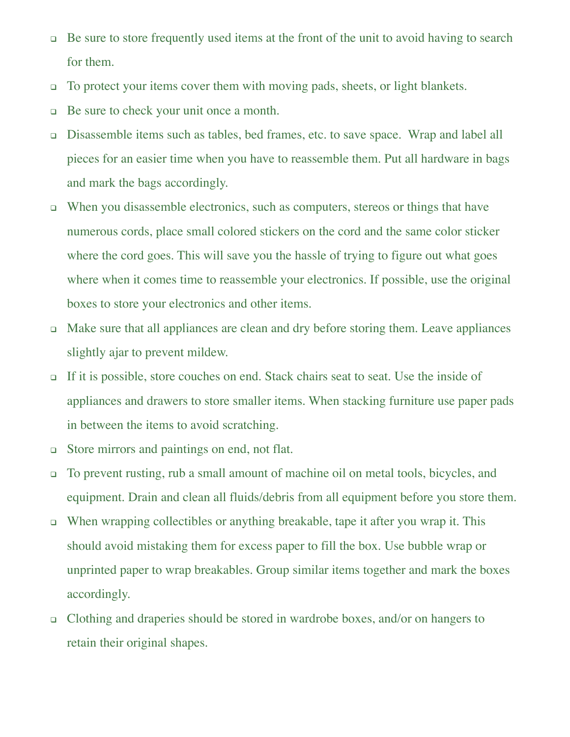- $\Box$  Be sure to store frequently used items at the front of the unit to avoid having to search for them.
- To protect your items cover them with moving pads, sheets, or light blankets.
- Be sure to check your unit once a month.
- Disassemble items such as tables, bed frames, etc. to save space. Wrap and label all pieces for an easier time when you have to reassemble them. Put all hardware in bags and mark the bags accordingly.
- When you disassemble electronics, such as computers, stereos or things that have numerous cords, place small colored stickers on the cord and the same color sticker where the cord goes. This will save you the hassle of trying to figure out what goes where when it comes time to reassemble your electronics. If possible, use the original boxes to store your electronics and other items.
- Make sure that all appliances are clean and dry before storing them. Leave appliances slightly ajar to prevent mildew.
- If it is possible, store couches on end. Stack chairs seat to seat. Use the inside of appliances and drawers to store smaller items. When stacking furniture use paper pads in between the items to avoid scratching.
- Store mirrors and paintings on end, not flat.
- To prevent rusting, rub a small amount of machine oil on metal tools, bicycles, and equipment. Drain and clean all fluids/debris from all equipment before you store them.
- When wrapping collectibles or anything breakable, tape it after you wrap it. This should avoid mistaking them for excess paper to fill the box. Use bubble wrap or unprinted paper to wrap breakables. Group similar items together and mark the boxes accordingly.
- Clothing and draperies should be stored in wardrobe boxes, and/or on hangers to retain their original shapes.